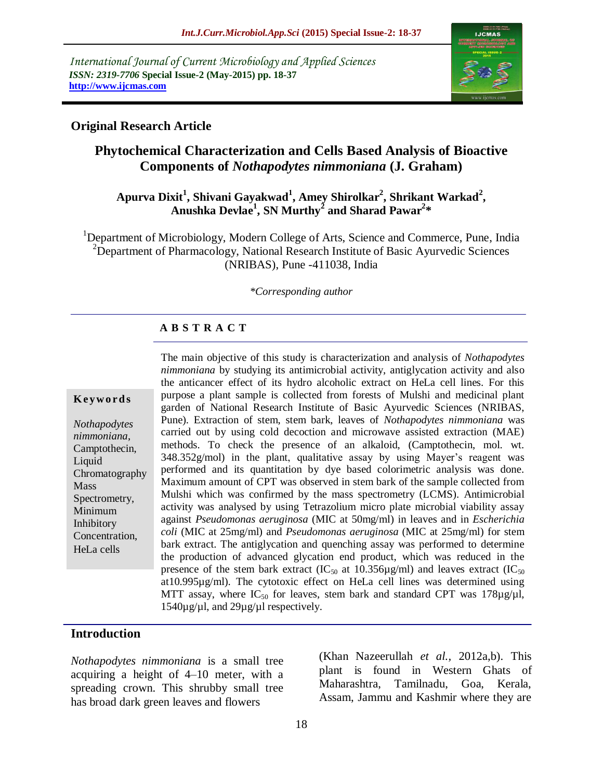*International Journal of Current Microbiology and Applied Sciences ISSN: 2319-7706* **Special Issue-2 (May-2015) pp. 18-37 http://www.ijcmas.com** 



### **Original Research Article**

# **Phytochemical Characterization and Cells Based Analysis of Bioactive Components of** *Nothapodytes nimmoniana* **(J. Graham)**

# **Apurva Dixit<sup>1</sup> , Shivani Gayakwad<sup>1</sup> , Amey Shirolkar<sup>2</sup> , Shrikant Warkad<sup>2</sup> , Anushka Devlae 1 , SN Murthy<sup>2</sup> and Sharad Pawar<sup>2</sup> \***

<sup>1</sup>Department of Microbiology, Modern College of Arts, Science and Commerce, Pune, India <sup>2</sup>Department of Pharmacology, National Research Institute of Basic Ayurvedic Sciences (NRIBAS), Pune -411038, India

#### *\*Corresponding author*

#### **A B S T R A C T**

#### **K ey w o rd s**

*Nothapodytes nimmoniana*, Camptothecin, Liquid Chromatography Mass Spectrometry, Minimum Inhibitory Concentration, HeLa cells

The main objective of this study is characterization and analysis of *Nothapodytes nimmoniana* by studying its antimicrobial activity, antiglycation activity and also the anticancer effect of its hydro alcoholic extract on HeLa cell lines. For this purpose a plant sample is collected from forests of Mulshi and medicinal plant garden of National Research Institute of Basic Ayurvedic Sciences (NRIBAS, Pune). Extraction of stem, stem bark, leaves of *Nothapodytes nimmoniana* was carried out by using cold decoction and microwave assisted extraction (MAE) methods. To check the presence of an alkaloid, (Camptothecin, mol. wt. 348.352g/mol) in the plant, qualitative assay by using Mayer's reagent was performed and its quantitation by dye based colorimetric analysis was done. Maximum amount of CPT was observed in stem bark of the sample collected from Mulshi which was confirmed by the mass spectrometry (LCMS). Antimicrobial activity was analysed by using Tetrazolium micro plate microbial viability assay against *Pseudomonas aeruginosa* (MIC at 50mg/ml) in leaves and in *Escherichia coli* (MIC at 25mg/ml) and *Pseudomonas aeruginosa* (MIC at 25mg/ml) for stem bark extract. The antiglycation and quenching assay was performed to determine the production of advanced glycation end product, which was reduced in the presence of the stem bark extract ( $IC_{50}$  at 10.356µg/ml) and leaves extract ( $IC_{50}$ at10.995µg/ml). The cytotoxic effect on HeLa cell lines was determined using MTT assay, where  $IC_{50}$  for leaves, stem bark and standard CPT was 178 $\mu$ g/ $\mu$ l, 1540µg/µl, and 29µg/µl respectively.

#### **Introduction**

*Nothapodytes nimmoniana* is a small tree acquiring a height of 4–10 meter, with a spreading crown. This shrubby small tree has broad dark green leaves and flowers

(Khan Nazeerullah *et al.,* 2012a,b). This plant is found in Western Ghats of Maharashtra, Tamilnadu, Goa, Kerala, Assam, Jammu and Kashmir where they are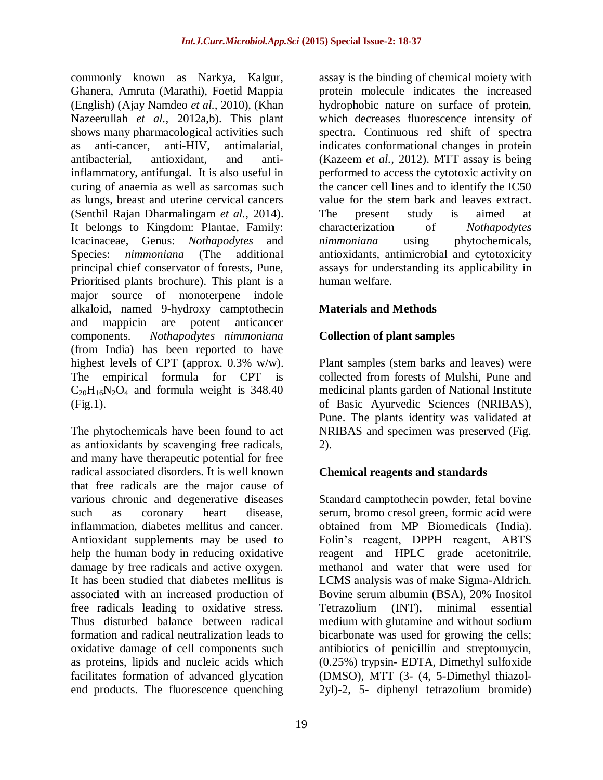commonly known as Narkya, Kalgur, Ghanera, Amruta (Marathi), Foetid Mappia (English) (Ajay Namdeo *et al.,* 2010), (Khan Nazeerullah *et al.,* 2012a,b). This plant shows many pharmacological activities such as anti-cancer, anti-HIV, antimalarial, antibacterial, antioxidant, and antiinflammatory, antifungal. It is also useful in curing of anaemia as well as sarcomas such as lungs, breast and uterine cervical cancers (Senthil Rajan Dharmalingam *et al.,* 2014). It belongs to Kingdom: Plantae, Family: Icacinaceae, Genus: *Nothapodytes* and Species: *nimmoniana* (The additional principal chief conservator of forests, Pune, Prioritised plants brochure). This plant is a major source of monoterpene indole alkaloid, named 9-hydroxy camptothecin and mappicin are potent anticancer components. *Nothapodytes nimmoniana* (from India) has been reported to have highest levels of CPT (approx. 0.3% w/w). The empirical formula for CPT is  $C_{20}H_{16}N_2O_4$  and formula weight is 348.40 (Fig.1).

The phytochemicals have been found to act as antioxidants by scavenging free radicals, and many have therapeutic potential for free radical associated disorders. It is well known that free radicals are the major cause of various chronic and degenerative diseases such as coronary heart disease, inflammation, diabetes mellitus and cancer. Antioxidant supplements may be used to help the human body in reducing oxidative damage by free radicals and active oxygen. It has been studied that diabetes mellitus is associated with an increased production of free radicals leading to oxidative stress. Thus disturbed balance between radical formation and radical neutralization leads to oxidative damage of cell components such as proteins, lipids and nucleic acids which facilitates formation of advanced glycation end products. The fluorescence quenching

assay is the binding of chemical moiety with protein molecule indicates the increased hydrophobic nature on surface of protein, which decreases fluorescence intensity of spectra. Continuous red shift of spectra indicates conformational changes in protein (Kazeem *et al.,* 2012). MTT assay is being performed to access the cytotoxic activity on the cancer cell lines and to identify the IC50 value for the stem bark and leaves extract. The present study is aimed at characterization of *Nothapodytes nimmoniana* using phytochemicals, antioxidants, antimicrobial and cytotoxicity assays for understanding its applicability in human welfare.

# **Materials and Methods**

# **Collection of plant samples**

Plant samples (stem barks and leaves) were collected from forests of Mulshi, Pune and medicinal plants garden of National Institute of Basic Ayurvedic Sciences (NRIBAS), Pune. The plants identity was validated at NRIBAS and specimen was preserved (Fig. 2).

# **Chemical reagents and standards**

Standard camptothecin powder, fetal bovine serum, bromo cresol green, formic acid were obtained from MP Biomedicals (India). Folin's reagent, DPPH reagent, ABTS reagent and HPLC grade acetonitrile, methanol and water that were used for LCMS analysis was of make Sigma-Aldrich. Bovine serum albumin (BSA), 20% Inositol Tetrazolium (INT), minimal essential medium with glutamine and without sodium bicarbonate was used for growing the cells; antibiotics of penicillin and streptomycin, (0.25%) trypsin- EDTA, Dimethyl sulfoxide (DMSO), MTT (3- (4, 5-Dimethyl thiazol-2yl)-2, 5- diphenyl tetrazolium bromide)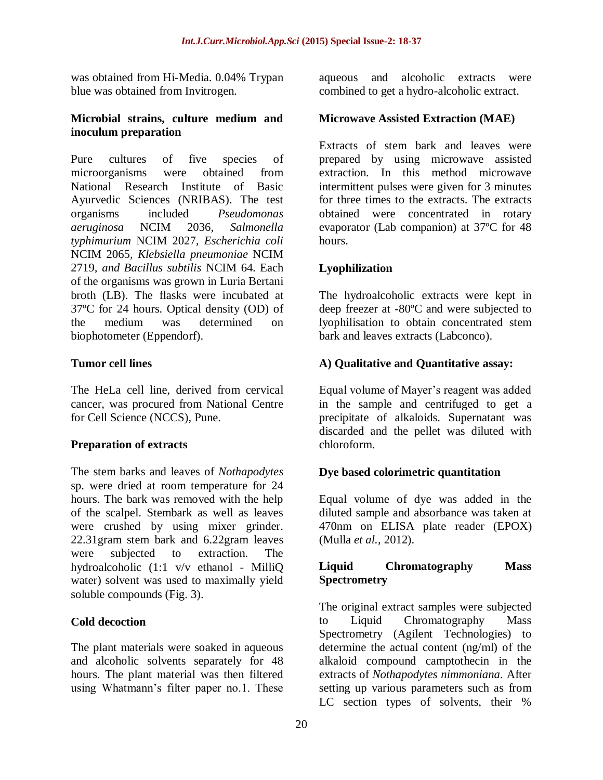was obtained from Hi-Media. 0.04% Trypan blue was obtained from Invitrogen.

#### **Microbial strains, culture medium and inoculum preparation**

Pure cultures of five species of microorganisms were obtained from National Research Institute of Basic Ayurvedic Sciences (NRIBAS). The test organisms included *Pseudomonas aeruginosa* NCIM 2036*, Salmonella typhimurium* NCIM 2027*, Escherichia coli*  NCIM 2065*, Klebsiella pneumoniae* NCIM 2719*, and Bacillus subtilis* NCIM 64. Each of the organisms was grown in Luria Bertani broth (LB). The flasks were incubated at 37ºC for 24 hours. Optical density (OD) of the medium was determined on biophotometer (Eppendorf).

# **Tumor cell lines**

The HeLa cell line, derived from cervical cancer, was procured from National Centre for Cell Science (NCCS), Pune.

# **Preparation of extracts**

The stem barks and leaves of *Nothapodytes*  sp. were dried at room temperature for 24 hours. The bark was removed with the help of the scalpel. Stembark as well as leaves were crushed by using mixer grinder. 22.31gram stem bark and 6.22gram leaves were subjected to extraction. The hydroalcoholic (1:1 v/v ethanol - MilliQ water) solvent was used to maximally yield soluble compounds (Fig. 3).

### **Cold decoction**

The plant materials were soaked in aqueous and alcoholic solvents separately for 48 hours. The plant material was then filtered using Whatmann's filter paper no.1. These

aqueous and alcoholic extracts were combined to get a hydro-alcoholic extract.

# **Microwave Assisted Extraction (MAE)**

Extracts of stem bark and leaves were prepared by using microwave assisted extraction. In this method microwave intermittent pulses were given for 3 minutes for three times to the extracts. The extracts obtained were concentrated in rotary evaporator (Lab companion) at 37ºC for 48 hours.

# **Lyophilization**

The hydroalcoholic extracts were kept in deep freezer at -80ºC and were subjected to lyophilisation to obtain concentrated stem bark and leaves extracts (Labconco).

# **A) Qualitative and Quantitative assay:**

Equal volume of Mayer's reagent was added in the sample and centrifuged to get a precipitate of alkaloids. Supernatant was discarded and the pellet was diluted with chloroform.

### **Dye based colorimetric quantitation**

Equal volume of dye was added in the diluted sample and absorbance was taken at 470nm on ELISA plate reader (EPOX) (Mulla *et al.,* 2012).

#### **Liquid Chromatography Mass Spectrometry**

The original extract samples were subjected to Liquid Chromatography Mass Spectrometry (Agilent Technologies) to determine the actual content (ng/ml) of the alkaloid compound camptothecin in the extracts of *Nothapodytes nimmoniana*. After setting up various parameters such as from LC section types of solvents, their %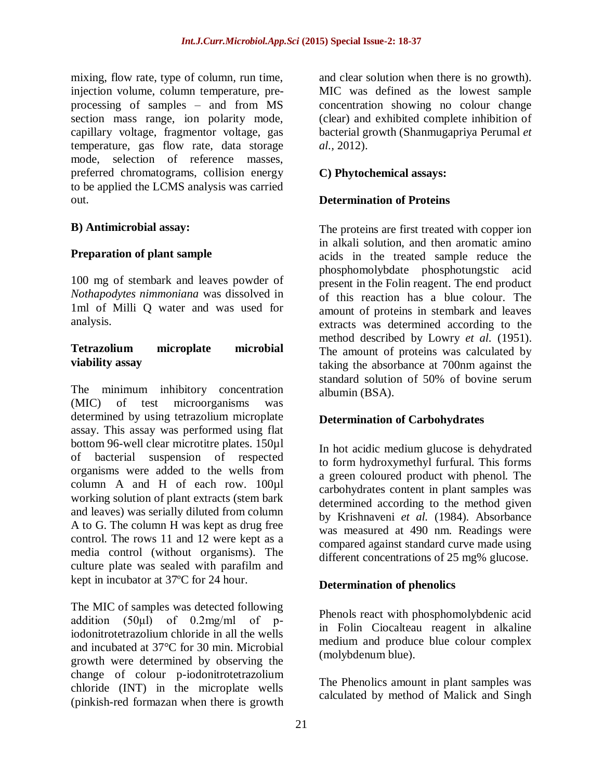mixing, flow rate, type of column, run time, injection volume, column temperature, preprocessing of samples – and from MS section mass range, ion polarity mode, capillary voltage, fragmentor voltage, gas temperature, gas flow rate, data storage mode, selection of reference masses, preferred chromatograms, collision energy to be applied the LCMS analysis was carried out.

### **B) Antimicrobial assay:**

### **Preparation of plant sample**

100 mg of stembark and leaves powder of *Nothapodytes nimmoniana* was dissolved in 1ml of Milli Q water and was used for analysis.

#### **Tetrazolium microplate microbial viability assay**

The minimum inhibitory concentration (MIC) of test microorganisms was determined by using tetrazolium microplate assay. This assay was performed using flat bottom 96-well clear microtitre plates. 150µl of bacterial suspension of respected organisms were added to the wells from column A and H of each row. 100µl working solution of plant extracts (stem bark and leaves) was serially diluted from column A to G. The column H was kept as drug free control. The rows 11 and 12 were kept as a media control (without organisms). The culture plate was sealed with parafilm and kept in incubator at 37ºC for 24 hour.

The MIC of samples was detected following addition (50μl) of 0.2mg/ml of piodonitrotetrazolium chloride in all the wells and incubated at 37°C for 30 min. Microbial growth were determined by observing the change of colour p-iodonitrotetrazolium chloride (INT) in the microplate wells (pinkish-red formazan when there is growth

and clear solution when there is no growth). MIC was defined as the lowest sample concentration showing no colour change (clear) and exhibited complete inhibition of bacterial growth (Shanmugapriya Perumal *et al.,* 2012).

### **C) Phytochemical assays:**

# **Determination of Proteins**

The proteins are first treated with copper ion in alkali solution, and then aromatic amino acids in the treated sample reduce the phosphomolybdate phosphotungstic acid present in the Folin reagent. The end product of this reaction has a blue colour. The amount of proteins in stembark and leaves extracts was determined according to the method described by Lowry *et al.* (1951). The amount of proteins was calculated by taking the absorbance at 700nm against the standard solution of 50% of bovine serum albumin (BSA).

### **Determination of Carbohydrates**

In hot acidic medium glucose is dehydrated to form hydroxymethyl furfural. This forms a green coloured product with phenol. The carbohydrates content in plant samples was determined according to the method given by Krishnaveni *et al.* (1984). Absorbance was measured at 490 nm. Readings were compared against standard curve made using different concentrations of 25 mg% glucose.

# **Determination of phenolics**

Phenols react with phosphomolybdenic acid in Folin Ciocalteau reagent in alkaline medium and produce blue colour complex (molybdenum blue).

The Phenolics amount in plant samples was calculated by method of Malick and Singh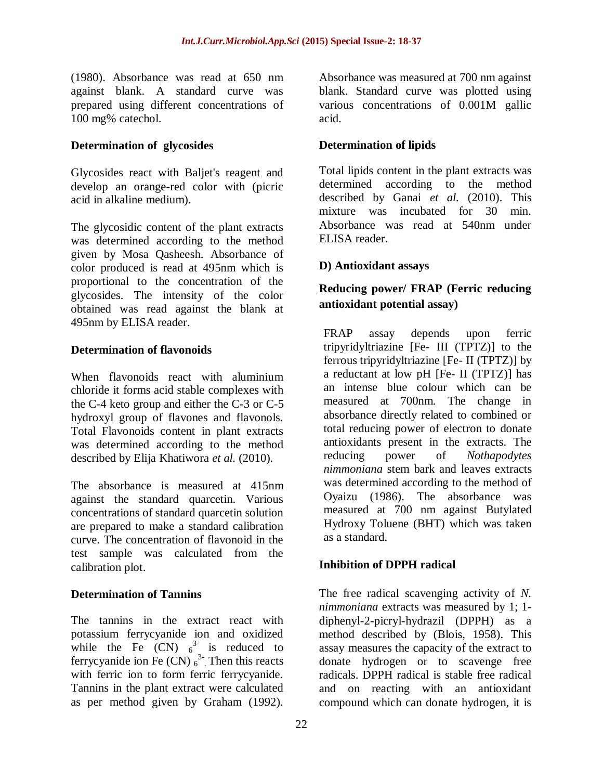(1980). Absorbance was read at 650 nm against blank. A standard curve was prepared using different concentrations of 100 mg% catechol.

### **Determination of glycosides**

Glycosides react with Baljet's reagent and develop an orange-red color with (picric acid in alkaline medium).

The glycosidic content of the plant extracts was determined according to the method given by Mosa Qasheesh. Absorbance of color produced is read at 495nm which is proportional to the concentration of the glycosides. The intensity of the color obtained was read against the blank at 495nm by ELISA reader.

# **Determination of flavonoids**

When flavonoids react with aluminium chloride it forms acid stable complexes with the C-4 keto group and either the C-3 or C-5 hydroxyl group of flavones and flavonols. Total Flavonoids content in plant extracts was determined according to the method described by Elija Khatiwora *et al.* (2010).

The absorbance is measured at 415nm against the standard quarcetin. Various concentrations of standard quarcetin solution are prepared to make a standard calibration curve. The concentration of flavonoid in the test sample was calculated from the calibration plot.

### **Determination of Tannins**

The tannins in the extract react with potassium ferrycyanide ion and oxidized while the Fe  $(CN)$   $6^{3}$  is reduced to ferrycyanide ion Fe  $(CN)$   $_6^3$ . Then this reacts with ferric ion to form ferric ferrycyanide. Tannins in the plant extract were calculated as per method given by Graham (1992).

Absorbance was measured at 700 nm against blank. Standard curve was plotted using various concentrations of 0.001M gallic acid.

# **Determination of lipids**

Total lipids content in the plant extracts was determined according to the method described by Ganai *et al.* (2010). This mixture was incubated for 30 min. Absorbance was read at 540nm under ELISA reader.

# **D) Antioxidant assays**

# **Reducing power/ FRAP (Ferric reducing antioxidant potential assay)**

FRAP assay depends upon ferric tripyridyltriazine [Fe- III (TPTZ)] to the ferrous tripyridyltriazine [Fe- II (TPTZ)] by a reductant at low pH [Fe- II (TPTZ)] has an intense blue colour which can be measured at 700nm. The change in absorbance directly related to combined or total reducing power of electron to donate antioxidants present in the extracts. The reducing power of *Nothapodytes nimmoniana* stem bark and leaves extracts was determined according to the method of Oyaizu (1986). The absorbance was measured at 700 nm against Butylated Hydroxy Toluene (BHT) which was taken as a standard.

### **Inhibition of DPPH radical**

The free radical scavenging activity of *N. nimmoniana* extracts was measured by 1; 1 diphenyl-2-picryl-hydrazil (DPPH) as a method described by (Blois, 1958). This assay measures the capacity of the extract to donate hydrogen or to scavenge free radicals. DPPH radical is stable free radical and on reacting with an antioxidant compound which can donate hydrogen, it is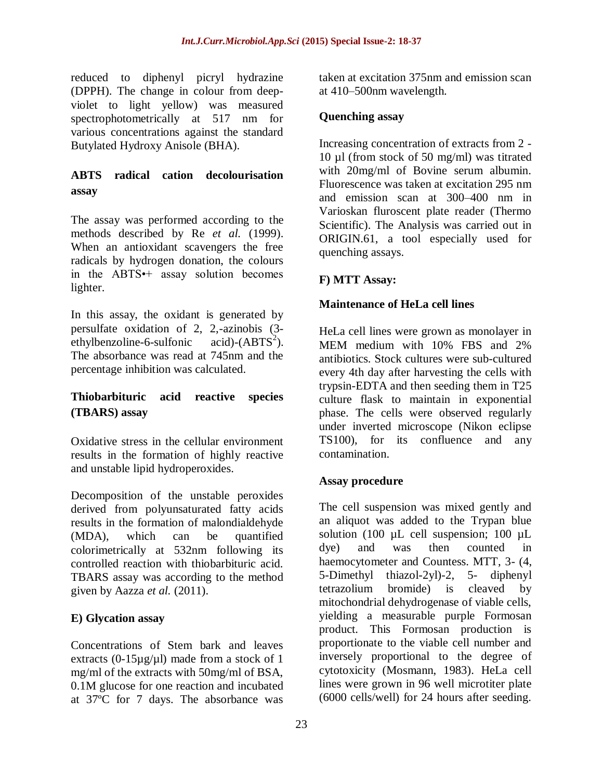reduced to diphenyl picryl hydrazine (DPPH). The change in colour from deepviolet to light yellow) was measured spectrophotometrically at 517 nm for various concentrations against the standard Butylated Hydroxy Anisole (BHA).

# **ABTS radical cation decolourisation assay**

The assay was performed according to the methods described by Re *et al.* (1999). When an antioxidant scavengers the free radicals by hydrogen donation, the colours in the ABTS•+ assay solution becomes lighter.

In this assay, the oxidant is generated by persulfate oxidation of 2, 2,-azinobis (3 ethylbenzoline-6-sulfonic acid)- $(ABTS^2)$ . The absorbance was read at 745nm and the percentage inhibition was calculated.

# **Thiobarbituric acid reactive species (TBARS) assay**

Oxidative stress in the cellular environment results in the formation of highly reactive and unstable lipid hydroperoxides.

Decomposition of the unstable peroxides derived from polyunsaturated fatty acids results in the formation of malondialdehyde (MDA), which can be quantified colorimetrically at 532nm following its controlled reaction with thiobarbituric acid. TBARS assay was according to the method given by Aazza *et al.* (2011).

# **E) Glycation assay**

Concentrations of Stem bark and leaves extracts (0-15 $\mu$ g/ $\mu$ l) made from a stock of 1 mg/ml of the extracts with 50mg/ml of BSA, 0.1M glucose for one reaction and incubated at 37ºC for 7 days. The absorbance was taken at excitation 375nm and emission scan at 410–500nm wavelength.

# **Quenching assay**

Increasing concentration of extracts from 2 - 10 µl (from stock of 50 mg/ml) was titrated with 20mg/ml of Bovine serum albumin. Fluorescence was taken at excitation 295 nm and emission scan at 300–400 nm in Varioskan fluroscent plate reader (Thermo Scientific). The Analysis was carried out in ORIGIN.61, a tool especially used for quenching assays.

# **F) MTT Assay:**

# **Maintenance of HeLa cell lines**

HeLa cell lines were grown as monolayer in MEM medium with 10% FBS and 2% antibiotics. Stock cultures were sub-cultured every 4th day after harvesting the cells with trypsin-EDTA and then seeding them in T25 culture flask to maintain in exponential phase. The cells were observed regularly under inverted microscope (Nikon eclipse TS100), for its confluence and any contamination.

# **Assay procedure**

The cell suspension was mixed gently and an aliquot was added to the Trypan blue solution (100 µL cell suspension; 100 µL dye) and was then counted in haemocytometer and Countess. MTT, 3- (4, 5-Dimethyl thiazol-2yl)-2, 5- diphenyl tetrazolium bromide) is cleaved by mitochondrial dehydrogenase of viable cells, yielding a measurable purple Formosan product. This Formosan production is proportionate to the viable cell number and inversely proportional to the degree of cytotoxicity (Mosmann, 1983). HeLa cell lines were grown in 96 well microtiter plate (6000 cells/well) for 24 hours after seeding.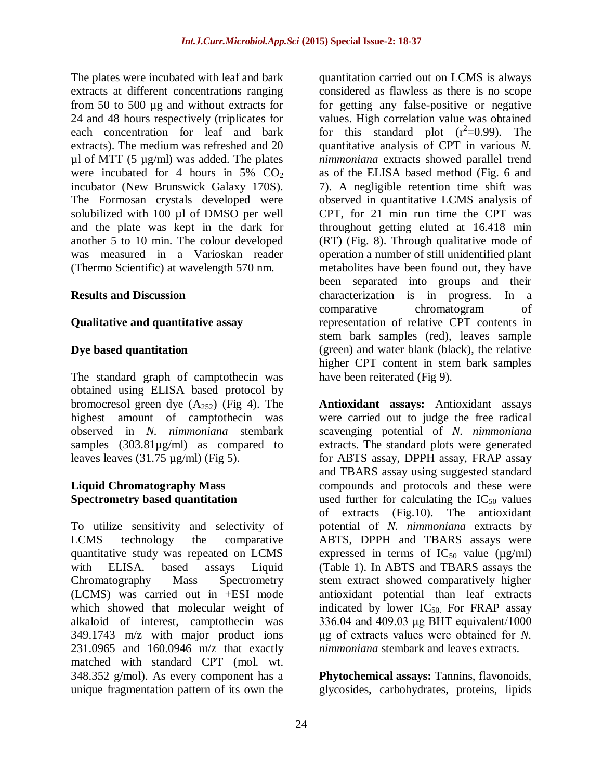The plates were incubated with leaf and bark extracts at different concentrations ranging from 50 to 500 µg and without extracts for 24 and 48 hours respectively (triplicates for each concentration for leaf and bark extracts). The medium was refreshed and 20  $\mu$ l of MTT (5  $\mu$ g/ml) was added. The plates were incubated for 4 hours in  $5\%$  CO<sub>2</sub> incubator (New Brunswick Galaxy 170S). The Formosan crystals developed were solubilized with 100 µl of DMSO per well and the plate was kept in the dark for another 5 to 10 min. The colour developed was measured in a Varioskan reader (Thermo Scientific) at wavelength 570 nm.

#### **Results and Discussion**

#### **Qualitative and quantitative assay**

#### **Dye based quantitation**

The standard graph of camptothecin was obtained using ELISA based protocol by bromocresol green dye  $(A_{252})$  (Fig 4). The highest amount of camptothecin was observed in *N. nimmoniana* stembark samples (303.81µg/ml) as compared to leaves leaves  $(31.75 \text{ µg/ml})$  (Fig 5).

### **Liquid Chromatography Mass Spectrometry based quantitation**

To utilize sensitivity and selectivity of LCMS technology the comparative quantitative study was repeated on LCMS with ELISA. based assays Liquid Chromatography Mass Spectrometry (LCMS) was carried out in +ESI mode which showed that molecular weight of alkaloid of interest, camptothecin was 349.1743 m/z with major product ions 231.0965 and 160.0946 m/z that exactly matched with standard CPT (mol. wt. 348.352 g/mol). As every component has a unique fragmentation pattern of its own the

quantitation carried out on LCMS is always considered as flawless as there is no scope for getting any false-positive or negative values. High correlation value was obtained for this standard plot  $(r^2=0.99)$ . The quantitative analysis of CPT in various *N. nimmoniana* extracts showed parallel trend as of the ELISA based method (Fig. 6 and 7). A negligible retention time shift was observed in quantitative LCMS analysis of CPT, for 21 min run time the CPT was throughout getting eluted at 16.418 min (RT) (Fig. 8). Through qualitative mode of operation a number of still unidentified plant metabolites have been found out, they have been separated into groups and their characterization is in progress. In a comparative chromatogram of representation of relative CPT contents in stem bark samples (red), leaves sample (green) and water blank (black), the relative higher CPT content in stem bark samples have been reiterated (Fig 9).

**Antioxidant assays:** Antioxidant assays were carried out to judge the free radical scavenging potential of *N. nimmoniana* extracts. The standard plots were generated for ABTS assay, DPPH assay, FRAP assay and TBARS assay using suggested standard compounds and protocols and these were used further for calculating the  $IC_{50}$  values of extracts (Fig.10). The antioxidant potential of *N. nimmoniana* extracts by ABTS, DPPH and TBARS assays were expressed in terms of  $IC_{50}$  value ( $\mu$ g/ml) (Table 1). In ABTS and TBARS assays the stem extract showed comparatively higher antioxidant potential than leaf extracts indicated by lower  $IC_{50}$  For FRAP assay 336.04 and 409.03 μg BHT equivalent/1000 μg of extracts values were obtained for *N. nimmoniana* stembark and leaves extracts.

**Phytochemical assays:** Tannins, flavonoids, glycosides, carbohydrates, proteins, lipids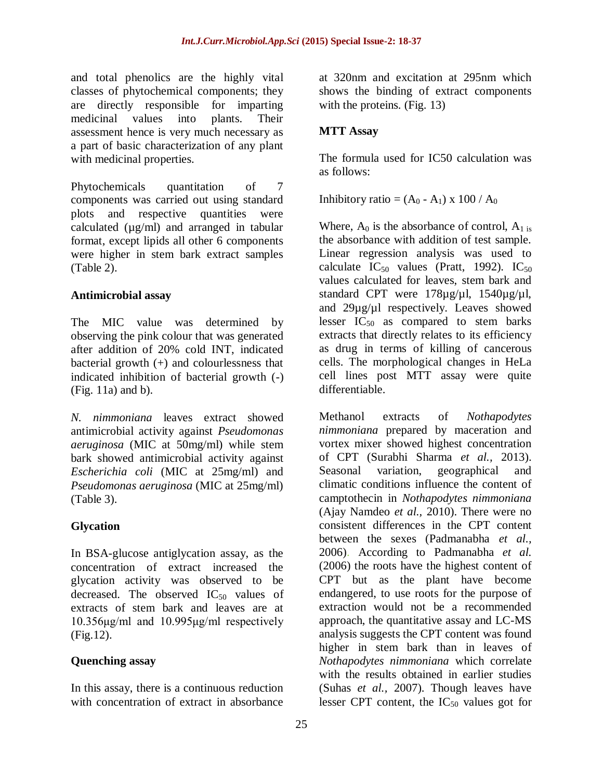and total phenolics are the highly vital classes of phytochemical components; they are directly responsible for imparting medicinal values into plants. Their assessment hence is very much necessary as a part of basic characterization of any plant with medicinal properties.

Phytochemicals quantitation of 7 components was carried out using standard plots and respective quantities were calculated  $(\mu g/ml)$  and arranged in tabular format, except lipids all other 6 components were higher in stem bark extract samples (Table 2).

# **Antimicrobial assay**

The MIC value was determined by observing the pink colour that was generated after addition of 20% cold INT, indicated bacterial growth (+) and colourlessness that indicated inhibition of bacterial growth (-) (Fig. 11a) and b).

*N. nimmoniana* leaves extract showed antimicrobial activity against *Pseudomonas aeruginosa* (MIC at 50mg/ml) while stem bark showed antimicrobial activity against *Escherichia coli* (MIC at 25mg/ml) and *Pseudomonas aeruginosa* (MIC at 25mg/ml) (Table 3).

# **Glycation**

In BSA-glucose antiglycation assay, as the concentration of extract increased the glycation activity was observed to be decreased. The observed  $IC_{50}$  values of extracts of stem bark and leaves are at 10.356μg/ml and 10.995μg/ml respectively (Fig.12).

# **Quenching assay**

In this assay, there is a continuous reduction with concentration of extract in absorbance

at 320nm and excitation at 295nm which shows the binding of extract components with the proteins. (Fig. 13)

# **MTT Assay**

The formula used for IC50 calculation was as follows:

Inhibitory ratio =  $(A_0 - A_1) \times 100 / A_0$ 

Where,  $A_0$  is the absorbance of control,  $A_1$  is the absorbance with addition of test sample. Linear regression analysis was used to calculate  $IC_{50}$  values (Pratt, 1992).  $IC_{50}$ values calculated for leaves, stem bark and standard CPT were 178µg/µl, 1540µg/µl, and 29µg/µl respectively. Leaves showed lesser  $IC_{50}$  as compared to stem barks extracts that directly relates to its efficiency as drug in terms of killing of cancerous cells. The morphological changes in HeLa cell lines post MTT assay were quite differentiable.

Methanol extracts of *Nothapodytes nimmoniana* prepared by maceration and vortex mixer showed highest concentration of CPT (Surabhi Sharma *et al.,* 2013). Seasonal variation, geographical and climatic conditions influence the content of camptothecin in *Nothapodytes nimmoniana* (Ajay Namdeo *et al.,* 2010). There were no consistent differences in the CPT content between the sexes (Padmanabha *et al.,* 2006). According to Padmanabha *et al.*  (2006) the roots have the highest content of CPT but as the plant have become endangered, to use roots for the purpose of extraction would not be a recommended approach, the quantitative assay and LC-MS analysis suggests the CPT content was found higher in stem bark than in leaves of *Nothapodytes nimmoniana* which correlate with the results obtained in earlier studies (Suhas *et al.,* 2007). Though leaves have lesser CPT content, the  $IC_{50}$  values got for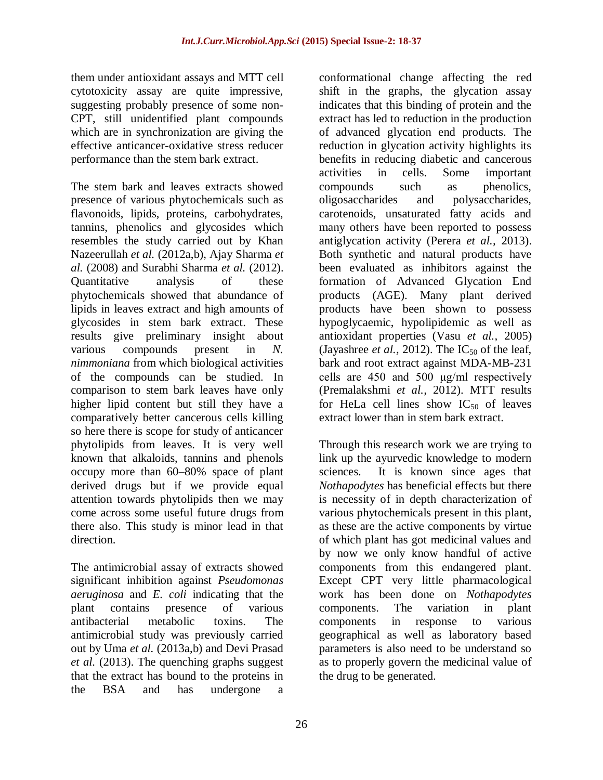them under antioxidant assays and MTT cell cytotoxicity assay are quite impressive, suggesting probably presence of some non-CPT, still unidentified plant compounds which are in synchronization are giving the effective anticancer-oxidative stress reducer performance than the stem bark extract.

The stem bark and leaves extracts showed presence of various phytochemicals such as flavonoids, lipids, proteins, carbohydrates, tannins, phenolics and glycosides which resembles the study carried out by Khan Nazeerullah *et al.* (2012a,b), Ajay Sharma *et al.* (2008) and Surabhi Sharma *et al.* (2012). Quantitative analysis of these phytochemicals showed that abundance of lipids in leaves extract and high amounts of glycosides in stem bark extract. These results give preliminary insight about various compounds present in *N. nimmoniana* from which biological activities of the compounds can be studied. In comparison to stem bark leaves have only higher lipid content but still they have a comparatively better cancerous cells killing so here there is scope for study of anticancer phytolipids from leaves. It is very well known that alkaloids, tannins and phenols occupy more than 60–80% space of plant derived drugs but if we provide equal attention towards phytolipids then we may come across some useful future drugs from there also. This study is minor lead in that direction.

The antimicrobial assay of extracts showed significant inhibition against *Pseudomonas aeruginosa* and *E. coli* indicating that the plant contains presence of various antibacterial metabolic toxins. The antimicrobial study was previously carried out by Uma *et al.* (2013a,b) and Devi Prasad *et al.* (2013). The quenching graphs suggest that the extract has bound to the proteins in the BSA and has undergone a

conformational change affecting the red shift in the graphs, the glycation assay indicates that this binding of protein and the extract has led to reduction in the production of advanced glycation end products. The reduction in glycation activity highlights its benefits in reducing diabetic and cancerous activities in cells. Some important compounds such as phenolics, oligosaccharides and polysaccharides, carotenoids, unsaturated fatty acids and many others have been reported to possess antiglycation activity (Perera *et al.,* 2013). Both synthetic and natural products have been evaluated as inhibitors against the formation of Advanced Glycation End products (AGE). Many plant derived products have been shown to possess hypoglycaemic, hypolipidemic as well as antioxidant properties (Vasu *et al.,* 2005) (Jayashree *et al.*, 2012). The  $IC_{50}$  of the leaf, bark and root extract against MDA-MB-231 cells are 450 and 500 μg/ml respectively (Premalakshmi *et al.,* 2012). MTT results for HeLa cell lines show  $IC_{50}$  of leaves extract lower than in stem bark extract.

Through this research work we are trying to link up the ayurvedic knowledge to modern sciences. It is known since ages that *Nothapodytes* has beneficial effects but there is necessity of in depth characterization of various phytochemicals present in this plant, as these are the active components by virtue of which plant has got medicinal values and by now we only know handful of active components from this endangered plant. Except CPT very little pharmacological work has been done on *Nothapodytes* components. The variation in plant components in response to various geographical as well as laboratory based parameters is also need to be understand so as to properly govern the medicinal value of the drug to be generated.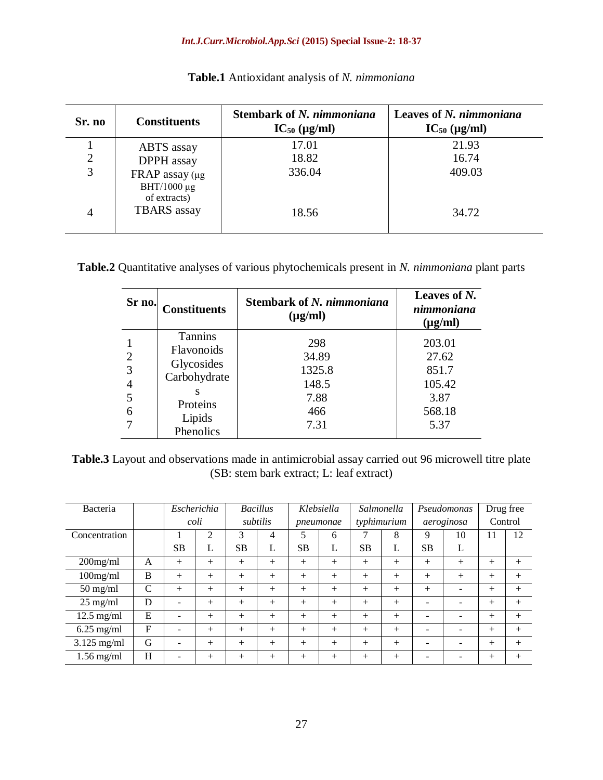#### *Int.J.Curr.Microbiol.App.Sci* **(2015) Special Issue-2: 18-37**

| Sr. no         | <b>Constituents</b>                                      | <b>Stembark of N. nimmoniana</b><br>$IC_{50}$ (µg/ml) | Leaves of N. nimmoniana<br>$IC_{50}$ (µg/ml) |
|----------------|----------------------------------------------------------|-------------------------------------------------------|----------------------------------------------|
|                | ABTS assay                                               | 17.01                                                 | 21.93                                        |
| $\overline{2}$ | DPPH assay                                               | 18.82                                                 | 16.74                                        |
| 3              | FRAP assay $(\mu g)$<br>BHT/1000 $\mu$ g<br>of extracts) | 336.04                                                | 409.03                                       |
| $\overline{4}$ | <b>TBARS</b> assay                                       | 18.56                                                 | 34.72                                        |

**Table.1** Antioxidant analysis of *N. nimmoniana*

**Table.2** Quantitative analyses of various phytochemicals present in *N. nimmoniana* plant parts

| Sr no.                                          | <b>Constituents</b>                                                                           | <b>Stembark of N. nimmoniana</b><br>$(\mu g/ml)$       | Leaves of N.<br>nimmoniana<br>$(\mu g/ml)$                   |  |  |
|-------------------------------------------------|-----------------------------------------------------------------------------------------------|--------------------------------------------------------|--------------------------------------------------------------|--|--|
| $\overline{2}$<br>3<br>$\overline{4}$<br>5<br>6 | <b>Tannins</b><br>Flavonoids<br>Glycosides<br>Carbohydrate<br>Proteins<br>Lipids<br>Phenolics | 298<br>34.89<br>1325.8<br>148.5<br>7.88<br>466<br>7.31 | 203.01<br>27.62<br>851.7<br>105.42<br>3.87<br>568.18<br>5.37 |  |  |

**Table.3** Layout and observations made in antimicrobial assay carried out 96 microwell titre plate (SB: stem bark extract; L: leaf extract)

| Bacteria           |              | Escherichia |        | <b>Bacillus</b> |        | Klebsiella |        | Salmonella  |        | Pseudomonas |        | Drug free |        |
|--------------------|--------------|-------------|--------|-----------------|--------|------------|--------|-------------|--------|-------------|--------|-----------|--------|
|                    |              | coli        |        | subtilis        |        | pneumonae  |        | typhimurium |        | aeroginosa  |        | Control   |        |
| Concentration      |              |             | 2      | 3               | 4      | 5          | 6      |             | 8      | 9           | 10     | 11        | 12     |
|                    |              | <b>SB</b>   | L      | SB.             | L      | <b>SB</b>  | L      | <b>SB</b>   | L      | <b>SB</b>   | L      |           |        |
| $200$ mg/ml        | A            | $^{+}$      | $^{+}$ | $^{+}$          | $^{+}$ | $+$        | $^{+}$ | $^{+}$      | $^{+}$ | $+$         | $^{+}$ | $^{+}$    | $^{+}$ |
| $100$ mg/ml        | B            | $^{+}$      | $^{+}$ | $^{+}$          | $+$    | $+$        | $^{+}$ | $^{+}$      | $+$    | $^{+}$      | $^{+}$ | $^{+}$    | $^{+}$ |
| $50 \text{ mg/ml}$ | $\mathsf{C}$ | $^{+}$      | $^{+}$ | $^{+}$          | $^{+}$ | $^{+}$     | $^{+}$ | $^{+}$      | $+$    | $^{+}$      |        | $^{+}$    | $^{+}$ |
| $25 \text{ mg/ml}$ | D            | -           | $^{+}$ | $^{+}$          | $^{+}$ | $^{+}$     | $^{+}$ | $^{+}$      | $+$    |             |        | $^{+}$    | $^{+}$ |
| $12.5$ mg/ml       | E            | -           | $+$    | $^{+}$          | $^{+}$ | $+$        | $^{+}$ | $^{+}$      | $+$    |             | -      | $^{+}$    | $^{+}$ |
| $6.25$ mg/ml       | F            | -           | $^{+}$ | $^{+}$          | $^{+}$ | $^{+}$     | $^{+}$ | $^{+}$      | $^{+}$ |             | -      | $^{+}$    | $^{+}$ |
| $3.125$ mg/ml      | G            | -           | $^{+}$ | $^{+}$          | $^{+}$ | $+$        | $^{+}$ | $^{+}$      | $+$    |             |        | $^{+}$    | $^{+}$ |
| $1.56$ mg/ml       | H            |             | $^{+}$ | $^{+}$          | $^{+}$ | $+$        | $^{+}$ | $^{+}$      | $+$    |             |        | $^{+}$    | $^{+}$ |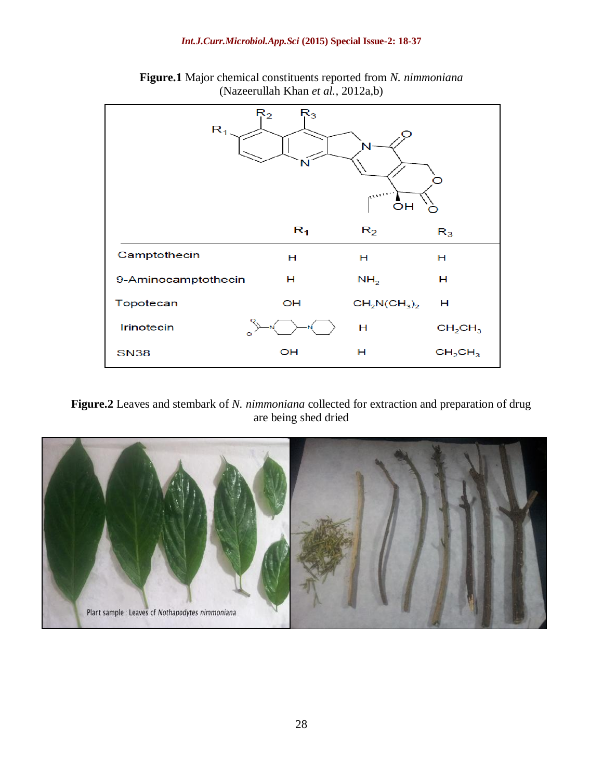

**Figure.1** Major chemical constituents reported from *N. nimmoniana* (Nazeerullah Khan *et al.,* 2012a,b)

### **Figure.2** Leaves and stembark of *N. nimmoniana* collected for extraction and preparation of drug are being shed dried

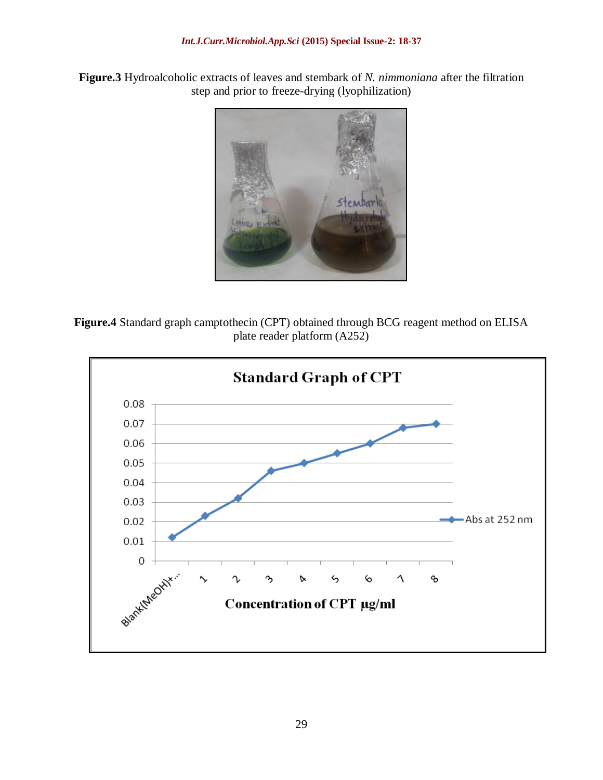**Figure.3** Hydroalcoholic extracts of leaves and stembark of *N. nimmoniana* after the filtration step and prior to freeze-drying (lyophilization)



**Figure.4** Standard graph camptothecin (CPT) obtained through BCG reagent method on ELISA plate reader platform (A252)

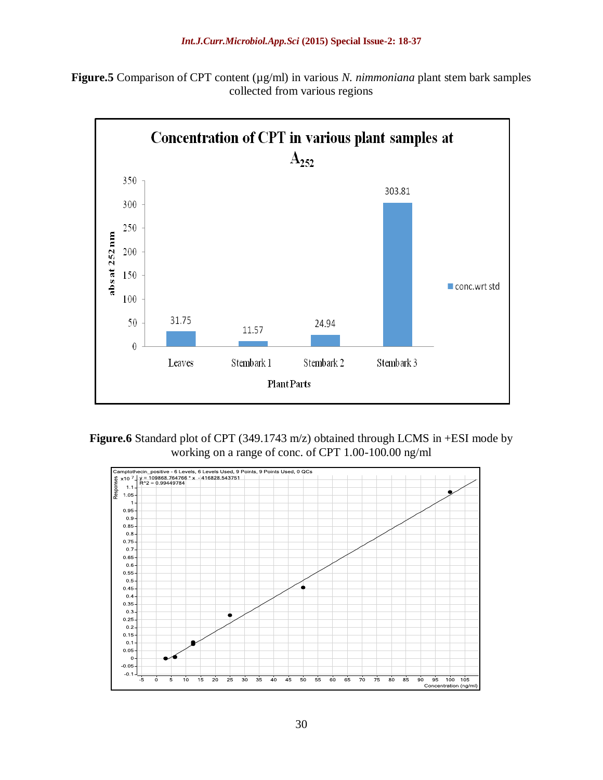



**Figure.6** Standard plot of CPT (349.1743 m/z) obtained through LCMS in +ESI mode by working on a range of conc. of CPT 1.00-100.00 ng/ml

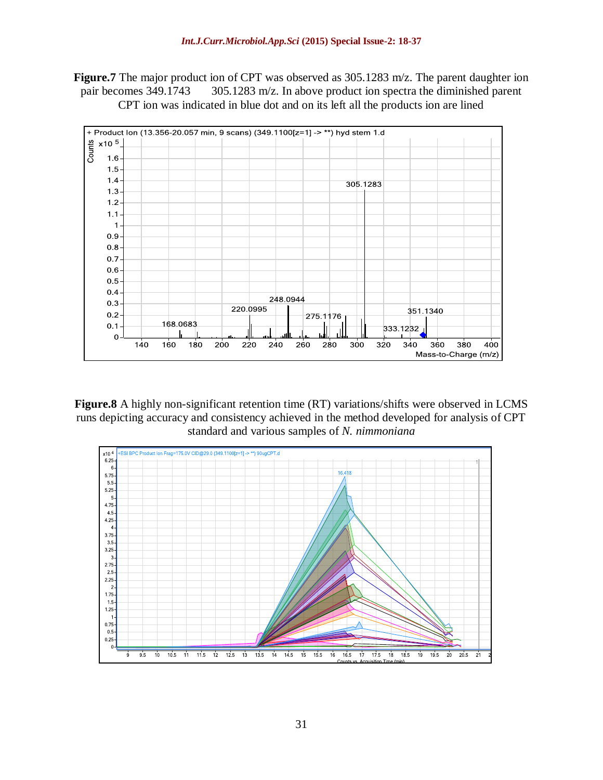Figure.7 The major product ion of CPT was observed as 305.1283 m/z. The parent daughter ion pair becomes 349.1743 305.1283 m/z. In above product ion spectra the diminished parent CPT ion was indicated in blue dot and on its left all the products ion are lined



**Figure.8** A highly non-significant retention time (RT) variations/shifts were observed in LCMS runs depicting accuracy and consistency achieved in the method developed for analysis of CPT standard and various samples of *N. nimmoniana*

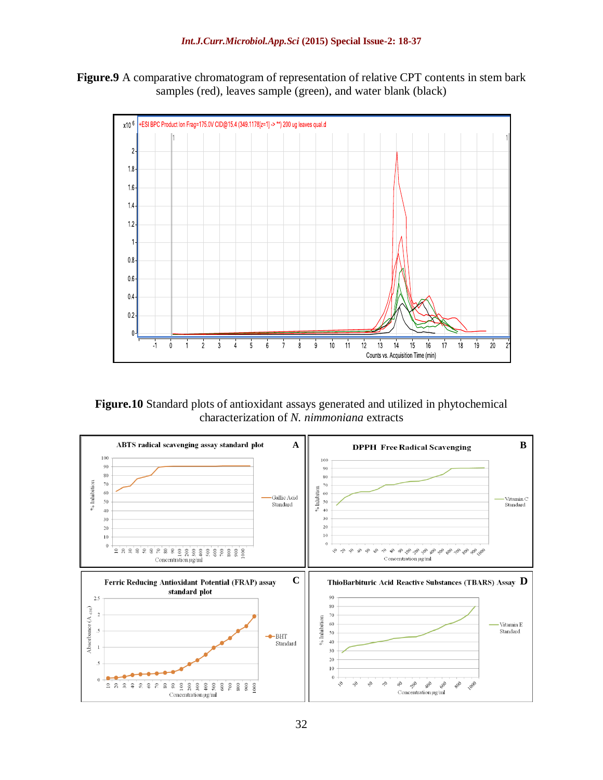**Figure.9** A comparative chromatogram of representation of relative CPT contents in stem bark samples (red), leaves sample (green), and water blank (black)



**Figure.10** Standard plots of antioxidant assays generated and utilized in phytochemical characterization of *N. nimmoniana* extracts

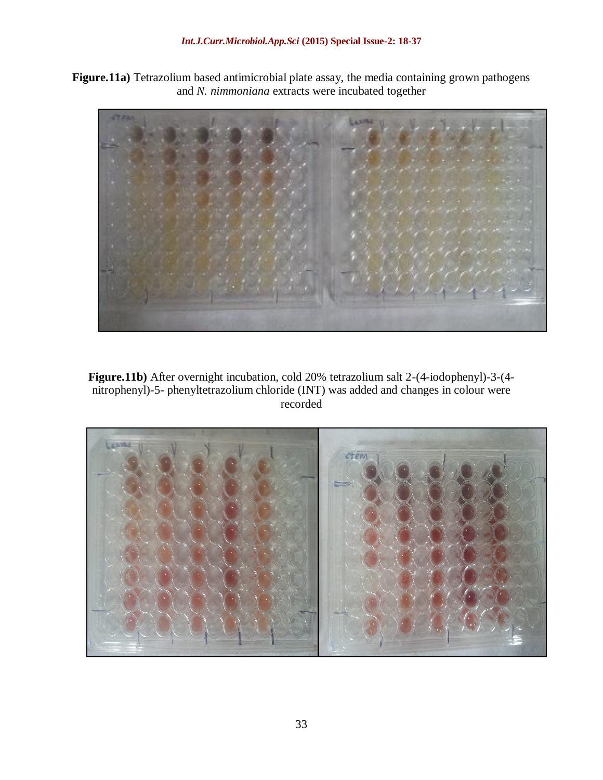**Figure.11a)** Tetrazolium based antimicrobial plate assay, the media containing grown pathogens and *N. nimmoniana* extracts were incubated together



**Figure.11b)** After overnight incubation, cold 20% tetrazolium salt 2-(4-iodophenyl)-3-(4 nitrophenyl)-5- phenyltetrazolium chloride (INT) was added and changes in colour were recorded

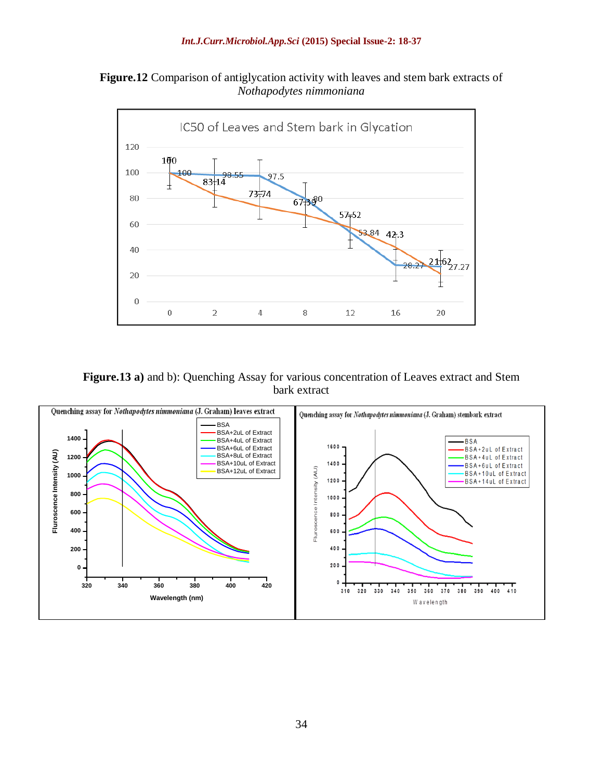**Figure.12** Comparison of antiglycation activity with leaves and stem bark extracts of *Nothapodytes nimmoniana*



**Figure.13 a)** and b): Quenching Assay for various concentration of Leaves extract and Stem bark extract

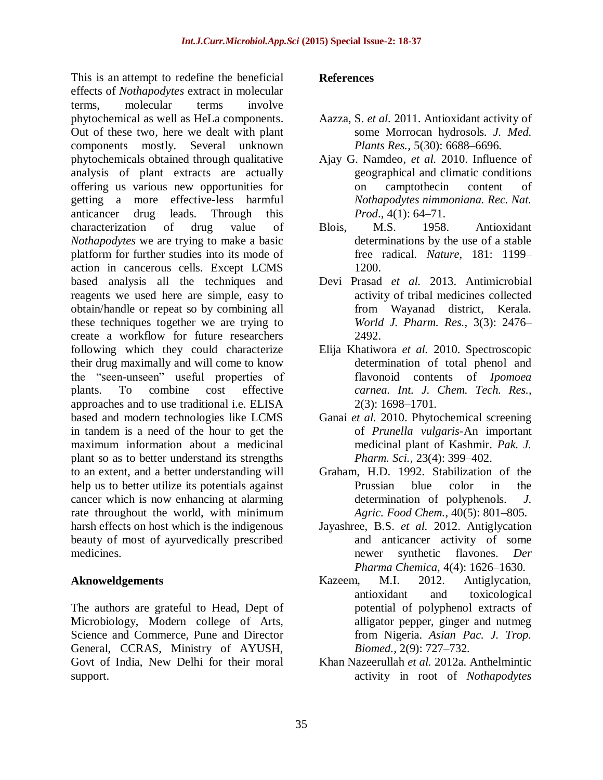This is an attempt to redefine the beneficial effects of *Nothapodytes* extract in molecular terms, molecular terms involve phytochemical as well as HeLa components. Out of these two, here we dealt with plant components mostly. Several unknown phytochemicals obtained through qualitative analysis of plant extracts are actually offering us various new opportunities for getting a more effective-less harmful anticancer drug leads. Through this characterization of drug value of *Nothapodytes* we are trying to make a basic platform for further studies into its mode of action in cancerous cells. Except LCMS based analysis all the techniques and reagents we used here are simple, easy to obtain/handle or repeat so by combining all these techniques together we are trying to create a workflow for future researchers following which they could characterize their drug maximally and will come to know the "seen-unseen" useful properties of plants. To combine cost effective approaches and to use traditional i.e. ELISA based and modern technologies like LCMS in tandem is a need of the hour to get the maximum information about a medicinal plant so as to better understand its strengths to an extent, and a better understanding will help us to better utilize its potentials against cancer which is now enhancing at alarming rate throughout the world, with minimum harsh effects on host which is the indigenous beauty of most of ayurvedically prescribed medicines.

### **Aknoweldgements**

The authors are grateful to Head, Dept of Microbiology, Modern college of Arts, Science and Commerce, Pune and Director General, CCRAS, Ministry of AYUSH, Govt of India, New Delhi for their moral support.

#### **References**

- Aazza, S. *et al.* 2011. Antioxidant activity of some Morrocan hydrosols. *J. Med. Plants Res.,* 5(30): 6688–6696.
- Ajay G. Namdeo, *et al.* 2010. Influence of geographical and climatic conditions on camptothecin content of *Nothapodytes nimmoniana. Rec. Nat. Prod*., 4(1): 64–71.
- Blois, M.S. 1958. Antioxidant determinations by the use of a stable free radical. *Nature,* 181: 1199– 1200.
- Devi Prasad *et al.* 2013. Antimicrobial activity of tribal medicines collected from Wayanad district, Kerala. *World J. Pharm. Res.,* 3(3): 2476– 2492.
- Elija Khatiwora *et al.* 2010. Spectroscopic determination of total phenol and flavonoid contents of *Ipomoea carnea. Int. J. Chem. Tech. Res.,* 2(3): 1698–1701.
- Ganai *et al.* 2010. Phytochemical screening of *Prunella vulgaris-*An important medicinal plant of Kashmir. *Pak. J. Pharm. Sci.,* 23(4): 399–402.
- Graham, H.D. 1992. Stabilization of the Prussian blue color in the determination of polyphenols. *J. Agric. Food Chem.,* 40(5): 801–805.
- Jayashree, B.S. *et al.* 2012. Antiglycation and anticancer activity of some newer synthetic flavones. *Der Pharma Chemica,* 4(4): 1626–1630.
- Kazeem, M.I. 2012. Antiglycation, antioxidant and toxicological potential of polyphenol extracts of alligator pepper, ginger and nutmeg from Nigeria. *Asian Pac. J. Trop. Biomed.,* 2(9): 727–732.
- Khan Nazeerullah *et al.* 2012a. Anthelmintic activity in root of *Nothapodytes*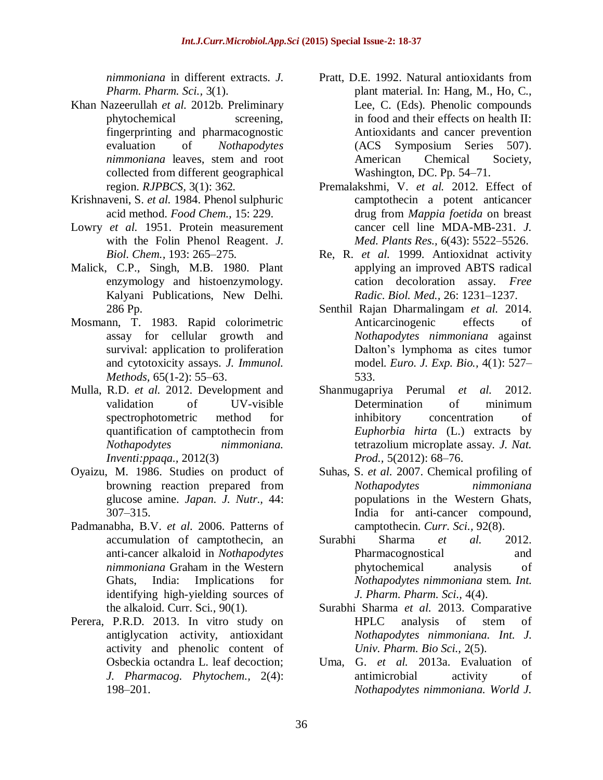*nimmoniana* in different extracts. *J. Pharm. Pharm. Sci.,* 3(1).

- Khan Nazeerullah *et al.* 2012b. Preliminary phytochemical screening, fingerprinting and pharmacognostic evaluation of *Nothapodytes nimmoniana* leaves, stem and root collected from different geographical region. *RJPBCS,* 3(1): 362*.*
- Krishnaveni, S. *et al.* 1984. Phenol sulphuric acid method. *Food Chem.,* 15: 229.
- Lowry *et al.* 1951. Protein measurement with the Folin Phenol Reagent. *J. Biol. Chem.,* 193: 265–275.
- Malick, C.P., Singh, M.B. 1980. Plant enzymology and histoenzymology. Kalyani Publications, New Delhi. 286 Pp.
- Mosmann, T. 1983. Rapid colorimetric assay for cellular growth and survival: application to proliferation and cytotoxicity assays. *J. Immunol. Methods,* 65(1-2): 55–63.
- Mulla, R.D. *et al.* 2012. Development and validation of UV-visible spectrophotometric method for quantification of camptothecin from *Nothapodytes nimmoniana. Inventi:ppaqa.,* 2012(3)
- Oyaizu, M. 1986. Studies on product of browning reaction prepared from glucose amine. *Japan. J. Nutr.,* 44: 307–315.
- Padmanabha, B.V. *et al.* 2006. Patterns of accumulation of camptothecin, an anti-cancer alkaloid in *Nothapodytes nimmoniana* Graham in the Western Ghats, India: Implications for identifying high-yielding sources of the alkaloid. Curr. Sci., 90(1).
- Perera, P.R.D. 2013. In vitro study on antiglycation activity, antioxidant activity and phenolic content of Osbeckia octandra L. leaf decoction; *J. Pharmacog. Phytochem.,* 2(4): 198–201.
- Pratt, D.E. 1992. Natural antioxidants from plant material. In: Hang, M., Ho, C., Lee, C. (Eds). Phenolic compounds in food and their effects on health II: Antioxidants and cancer prevention (ACS Symposium Series 507). American Chemical Society, Washington, DC. Pp. 54–71.
- Premalakshmi, V. *et al.* 2012. Effect of camptothecin a potent anticancer drug from *Mappia foetida* on breast cancer cell line MDA-MB-231. *J. Med. Plants Res.,* 6(43): 5522–5526.
- Re, R. *et al.* 1999. Antioxidnat activity applying an improved ABTS radical cation decoloration assay. *Free Radic. Biol. Med.,* 26: 1231–1237.
- Senthil Rajan Dharmalingam *et al.* 2014. Anticarcinogenic effects of *Nothapodytes nimmoniana* against Dalton's lymphoma as cites tumor model. *Euro. J. Exp. Bio.,* 4(1): 527– 533.
- Shanmugapriya Perumal *et al.* 2012. Determination of minimum inhibitory concentration of *Euphorbia hirta* (L.) extracts by tetrazolium microplate assay. *J. Nat. Prod.,* 5(2012): 68–76.
- Suhas, S. *et al.* 2007. Chemical profiling of *Nothapodytes nimmoniana*  populations in the Western Ghats, India for anti-cancer compound, camptothecin. *Curr. Sci.,* 92(8).
- Surabhi Sharma *et al.* 2012. Pharmacognostical and phytochemical analysis of *Nothapodytes nimmoniana* stem. *Int. J. Pharm. Pharm. Sci.,* 4(4).
- Surabhi Sharma *et al.* 2013. Comparative HPLC analysis of stem of *Nothapodytes nimmoniana. Int. J. Univ. Pharm. Bio Sci.,* 2(5).
- Uma, G. *et al.* 2013a. Evaluation of antimicrobial activity of *Nothapodytes nimmoniana. World J.*